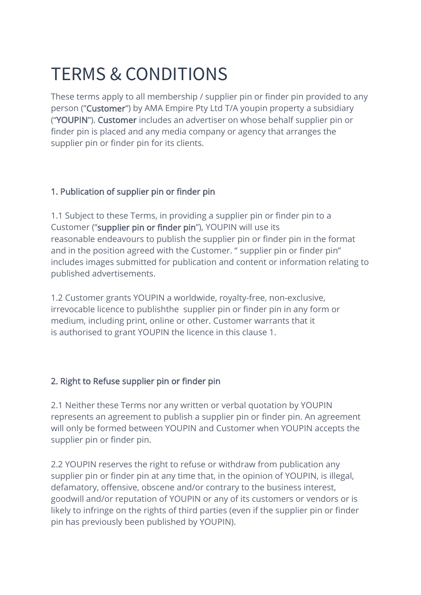# TERMS & CONDITIONS

These terms apply to all membership / supplier pin or finder pin provided to any person ("Customer") by AMA Empire Pty Ltd T/A youpin property a subsidiary ("YOUPIN"). Customer includes an advertiser on whose behalf supplier pin or finder pin is placed and any media company or agency that arranges the supplier pin or finder pin for its clients.

#### 1. Publication of supplier pin or finder pin

1.1 Subject to these Terms, in providing a supplier pin or finder pin to a Customer ("supplier pin or finder pin"), YOUPIN will use its reasonable endeavours to publish the supplier pin or finder pin in the format and in the position agreed with the Customer. " supplier pin or finder pin" includes images submitted for publication and content or information relating to published advertisements.

1.2 Customer grants YOUPIN a worldwide, royalty-free, non-exclusive, irrevocable licence to publishthe supplier pin or finder pin in any form or medium, including print, online or other. Customer warrants that it is authorised to grant YOUPIN the licence in this clause 1.

## 2. Right to Refuse supplier pin or finder pin

2.1 Neither these Terms nor any written or verbal quotation by YOUPIN represents an agreement to publish a supplier pin or finder pin. An agreement will only be formed between YOUPIN and Customer when YOUPIN accepts the supplier pin or finder pin.

2.2 YOUPIN reserves the right to refuse or withdraw from publication any supplier pin or finder pin at any time that, in the opinion of YOUPIN, is illegal, defamatory, offensive, obscene and/or contrary to the business interest, goodwill and/or reputation of YOUPIN or any of its customers or vendors or is likely to infringe on the rights of third parties (even if the supplier pin or finder pin has previously been published by YOUPIN).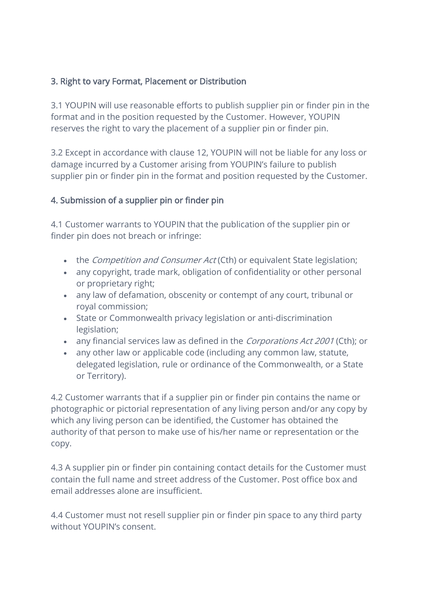## 3. Right to vary Format, Placement or Distribution

3.1 YOUPIN will use reasonable efforts to publish supplier pin or finder pin in the format and in the position requested by the Customer. However, YOUPIN reserves the right to vary the placement of a supplier pin or finder pin.

3.2 Except in accordance with clause 12, YOUPIN will not be liable for any loss or damage incurred by a Customer arising from YOUPIN's failure to publish supplier pin or finder pin in the format and position requested by the Customer.

#### 4. Submission of a supplier pin or finder pin

4.1 Customer warrants to YOUPIN that the publication of the supplier pin or finder pin does not breach or infringe:

- the *Competition and Consumer Act* (Cth) or equivalent State legislation;
- any copyright, trade mark, obligation of confidentiality or other personal or proprietary right;
- any law of defamation, obscenity or contempt of any court, tribunal or royal commission;
- State or Commonwealth privacy legislation or anti-discrimination legislation;
- any financial services law as defined in the Corporations Act 2001 (Cth); or
- any other law or applicable code (including any common law, statute, delegated legislation, rule or ordinance of the Commonwealth, or a State or Territory).

4.2 Customer warrants that if a supplier pin or finder pin contains the name or photographic or pictorial representation of any living person and/or any copy by which any living person can be identified, the Customer has obtained the authority of that person to make use of his/her name or representation or the copy.

4.3 A supplier pin or finder pin containing contact details for the Customer must contain the full name and street address of the Customer. Post office box and email addresses alone are insufficient.

4.4 Customer must not resell supplier pin or finder pin space to any third party without YOUPIN's consent.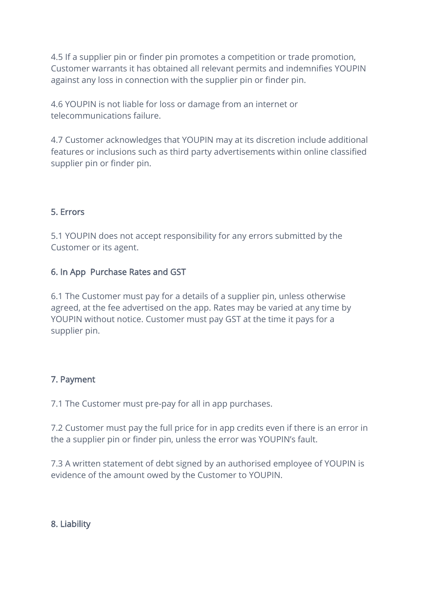4.5 If a supplier pin or finder pin promotes a competition or trade promotion, Customer warrants it has obtained all relevant permits and indemnifies YOUPIN against any loss in connection with the supplier pin or finder pin.

4.6 YOUPIN is not liable for loss or damage from an internet or telecommunications failure.

4.7 Customer acknowledges that YOUPIN may at its discretion include additional features or inclusions such as third party advertisements within online classified supplier pin or finder pin.

# 5. Errors

5.1 YOUPIN does not accept responsibility for any errors submitted by the Customer or its agent.

## 6. In App Purchase Rates and GST

6.1 The Customer must pay for a details of a supplier pin, unless otherwise agreed, at the fee advertised on the app. Rates may be varied at any time by YOUPIN without notice. Customer must pay GST at the time it pays for a supplier pin.

## 7. Payment

7.1 The Customer must pre-pay for all in app purchases.

7.2 Customer must pay the full price for in app credits even if there is an error in the a supplier pin or finder pin, unless the error was YOUPIN's fault.

7.3 A written statement of debt signed by an authorised employee of YOUPIN is evidence of the amount owed by the Customer to YOUPIN.

#### 8. Liability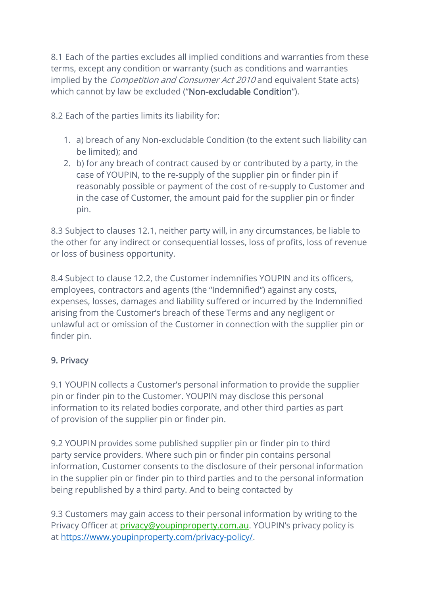8.1 Each of the parties excludes all implied conditions and warranties from these terms, except any condition or warranty (such as conditions and warranties implied by the *Competition and Consumer Act 2010* and equivalent State acts) which cannot by law be excluded ("Non-excludable Condition").

8.2 Each of the parties limits its liability for:

- 1. a) breach of any Non-excludable Condition (to the extent such liability can be limited); and
- 2. b) for any breach of contract caused by or contributed by a party, in the case of YOUPIN, to the re-supply of the supplier pin or finder pin if reasonably possible or payment of the cost of re-supply to Customer and in the case of Customer, the amount paid for the supplier pin or finder pin.

8.3 Subject to clauses 12.1, neither party will, in any circumstances, be liable to the other for any indirect or consequential losses, loss of profits, loss of revenue or loss of business opportunity.

8.4 Subject to clause 12.2, the Customer indemnifies YOUPIN and its officers, employees, contractors and agents (the "Indemnified") against any costs, expenses, losses, damages and liability suffered or incurred by the Indemnified arising from the Customer's breach of these Terms and any negligent or unlawful act or omission of the Customer in connection with the supplier pin or finder pin.

## 9. Privacy

9.1 YOUPIN collects a Customer's personal information to provide the supplier pin or finder pin to the Customer. YOUPIN may disclose this personal information to its related bodies corporate, and other third parties as part of provision of the supplier pin or finder pin.

9.2 YOUPIN provides some published supplier pin or finder pin to third party service providers. Where such pin or finder pin contains personal information, Customer consents to the disclosure of their personal information in the supplier pin or finder pin to third parties and to the personal information being republished by a third party. And to being contacted by

9.3 Customers may gain access to their personal information by writing to the Privacy Officer at *privacy@youpinproperty.com.au*. YOUPIN's privacy policy is at [https://www.youpinproperty.com/privacy-policy/.](https://www.youpinproperty.com/privacy-policy/)